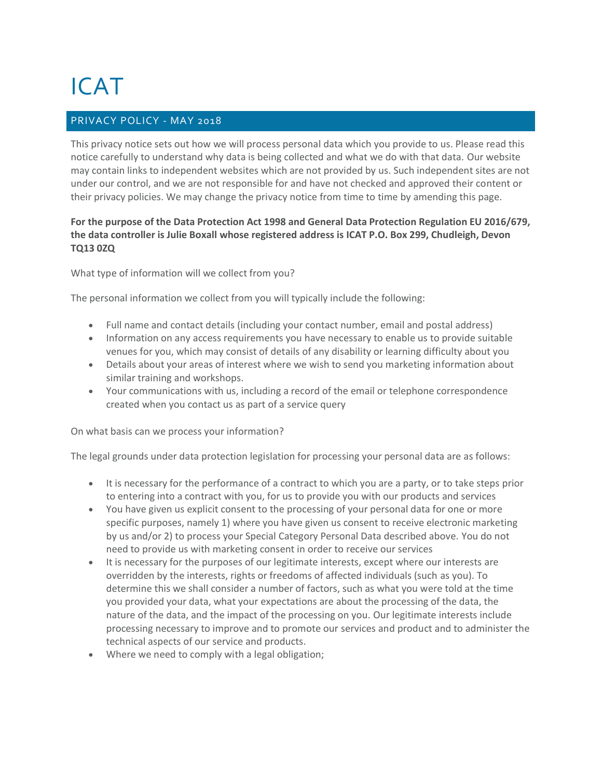# ICAT

## PRIVACY POLICY - MAY 2018

This privacy notice sets out how we will process personal data which you provide to us. Please read this notice carefully to understand why data is being collected and what we do with that data. Our website may contain links to independent websites which are not provided by us. Such independent sites are not under our control, and we are not responsible for and have not checked and approved their content or their privacy policies. We may change the privacy notice from time to time by amending this page.

### **For the purpose of the Data Protection Act 1998 and General Data Protection Regulation EU 2016/679, the data controller is Julie Boxall whose registered address is ICAT P.O. Box 299, Chudleigh, Devon TQ13 0ZQ**

What type of information will we collect from you?

The personal information we collect from you will typically include the following:

- Full name and contact details (including your contact number, email and postal address)
- Information on any access requirements you have necessary to enable us to provide suitable venues for you, which may consist of details of any disability or learning difficulty about you
- Details about your areas of interest where we wish to send you marketing information about similar training and workshops.
- Your communications with us, including a record of the email or telephone correspondence created when you contact us as part of a service query

On what basis can we process your information?

The legal grounds under data protection legislation for processing your personal data are as follows:

- It is necessary for the performance of a contract to which you are a party, or to take steps prior to entering into a contract with you, for us to provide you with our products and services
- You have given us explicit consent to the processing of your personal data for one or more specific purposes, namely 1) where you have given us consent to receive electronic marketing by us and/or 2) to process your Special Category Personal Data described above. You do not need to provide us with marketing consent in order to receive our services
- It is necessary for the purposes of our legitimate interests, except where our interests are overridden by the interests, rights or freedoms of affected individuals (such as you). To determine this we shall consider a number of factors, such as what you were told at the time you provided your data, what your expectations are about the processing of the data, the nature of the data, and the impact of the processing on you. Our legitimate interests include processing necessary to improve and to promote our services and product and to administer the technical aspects of our service and products.
- Where we need to comply with a legal obligation;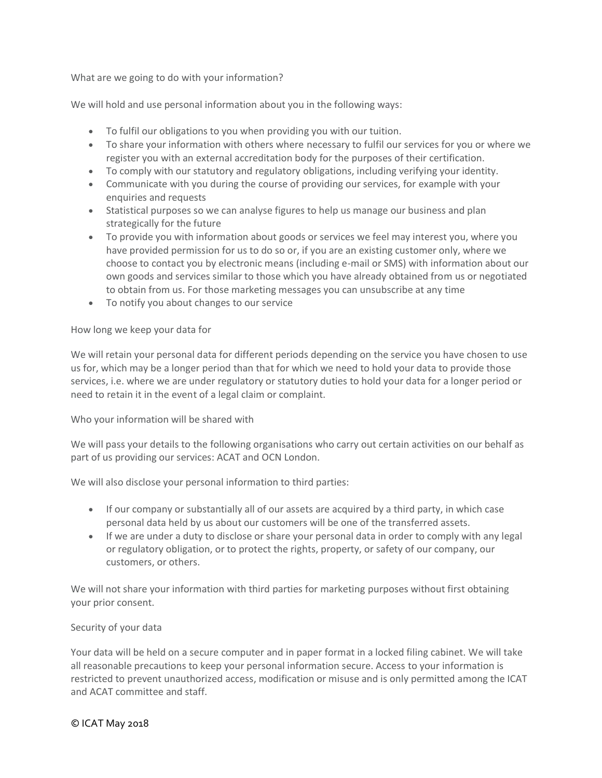What are we going to do with your information?

We will hold and use personal information about you in the following ways:

- To fulfil our obligations to you when providing you with our tuition.
- To share your information with others where necessary to fulfil our services for you or where we register you with an external accreditation body for the purposes of their certification.
- To comply with our statutory and regulatory obligations, including verifying your identity.
- Communicate with you during the course of providing our services, for example with your enquiries and requests
- Statistical purposes so we can analyse figures to help us manage our business and plan strategically for the future
- To provide you with information about goods or services we feel may interest you, where you have provided permission for us to do so or, if you are an existing customer only, where we choose to contact you by electronic means (including e-mail or SMS) with information about our own goods and services similar to those which you have already obtained from us or negotiated to obtain from us. For those marketing messages you can unsubscribe at any time
- To notify you about changes to our service

#### How long we keep your data for

We will retain your personal data for different periods depending on the service you have chosen to use us for, which may be a longer period than that for which we need to hold your data to provide those services, i.e. where we are under regulatory or statutory duties to hold your data for a longer period or need to retain it in the event of a legal claim or complaint.

Who your information will be shared with

We will pass your details to the following organisations who carry out certain activities on our behalf as part of us providing our services: ACAT and OCN London.

We will also disclose your personal information to third parties:

- If our company or substantially all of our assets are acquired by a third party, in which case personal data held by us about our customers will be one of the transferred assets.
- If we are under a duty to disclose or share your personal data in order to comply with any legal or regulatory obligation, or to protect the rights, property, or safety of our company, our customers, or others.

We will not share your information with third parties for marketing purposes without first obtaining your prior consent.

#### Security of your data

Your data will be held on a secure computer and in paper format in a locked filing cabinet. We will take all reasonable precautions to keep your personal information secure. Access to your information is restricted to prevent unauthorized access, modification or misuse and is only permitted among the ICAT and ACAT committee and staff.